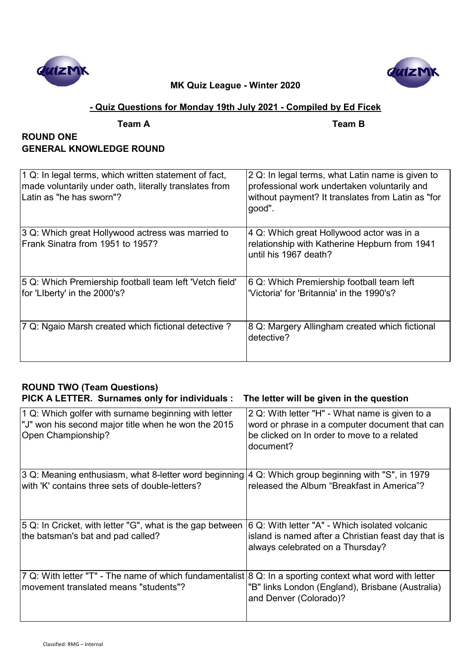



# **- Quiz Questions for Monday 19th July 2021 - Compiled by Ed Ficek**

| а<br>н<br>ι Ι<br>× |  |
|--------------------|--|
|                    |  |

**Team A Team B**

# **ROUND ONE GENERAL KNOWLEDGE ROUND**

| 1 Q: In legal terms, which written statement of fact,<br>made voluntarily under oath, literally translates from<br>Latin as "he has sworn"? | 2 Q: In legal terms, what Latin name is given to<br>professional work undertaken voluntarily and<br>without payment? It translates from Latin as "for<br>good". |
|---------------------------------------------------------------------------------------------------------------------------------------------|-----------------------------------------------------------------------------------------------------------------------------------------------------------------|
| 3 Q: Which great Hollywood actress was married to<br>Frank Sinatra from 1951 to 1957?                                                       | 4 Q: Which great Hollywood actor was in a<br>relationship with Katherine Hepburn from 1941<br>until his 1967 death?                                             |
| 5 Q: Which Premiership football team left 'Vetch field'<br>for 'Liberty' in the 2000's?                                                     | 6 Q: Which Premiership football team left<br>'Victoria' for 'Britannia' in the 1990's?                                                                          |
| 7 Q: Ngaio Marsh created which fictional detective?                                                                                         | 8 Q: Margery Allingham created which fictional<br>detective?                                                                                                    |

# **ROUND TWO (Team Questions) PICK A LETTER. Surnames only for individuals : The letter will be given in the question**

| 1 Q: Which golfer with surname beginning with letter<br>"J" won his second major title when he won the 2015<br>Open Championship? | 2 Q: With letter "H" - What name is given to a<br>word or phrase in a computer document that can<br>be clicked on In order to move to a related<br>document? |
|-----------------------------------------------------------------------------------------------------------------------------------|--------------------------------------------------------------------------------------------------------------------------------------------------------------|
| 3 Q: Meaning enthusiasm, what 8-letter word beginning                                                                             | 4 Q: Which group beginning with "S", in 1979                                                                                                                 |
| with 'K' contains three sets of double-letters?                                                                                   | released the Album "Breakfast in America"?                                                                                                                   |
| 5 Q: In Cricket, with letter "G", what is the gap between<br>the batsman's bat and pad called?                                    | 6 Q: With letter "A" - Which isolated volcanic<br>island is named after a Christian feast day that is<br>always celebrated on a Thursday?                    |
| 7 Q: With letter "T" - The name of which fundamentalist 8 Q: In a sporting context what word with letter                          | "B" links London (England), Brisbane (Australia)                                                                                                             |
| movement translated means "students"?                                                                                             | and Denver (Colorado)?                                                                                                                                       |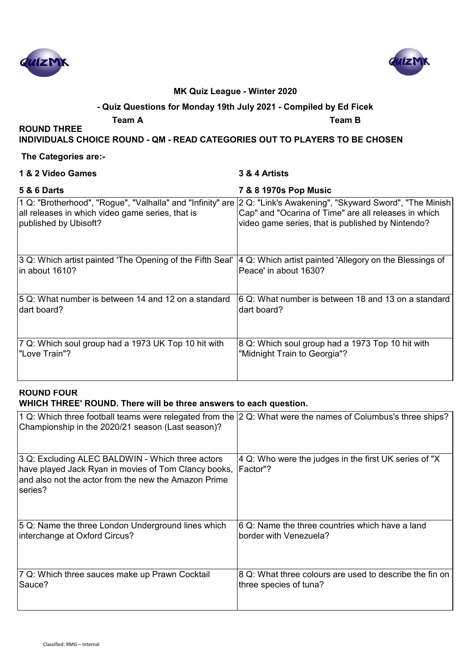



#### **- Quiz Questions for Monday 19th July 2021 - Compiled by Ed Ficek**

**Team A Team B**

**INDIVIDUALS CHOICE ROUND - QM - READ CATEGORIES OUT TO PLAYERS TO BE CHOSEN**

#### **The Categories are:-**

#### **1 & 2 Video Games 3 & 4 Artists**

**ROUND THREE** 

### **5 & 6 Darts 7 & 8 1970s Pop Music**

| 1 Q: "Brotherhood", "Rogue", "Valhalla" and "Infinity" are  2 Q: "Link's Awakening", "Skyward Sword", "The Minish<br>all releases in which video game series, that is<br>published by Ubisoft? | Cap" and "Ocarina of Time" are all releases in which<br>video game series, that is published by Nintendo? |
|------------------------------------------------------------------------------------------------------------------------------------------------------------------------------------------------|-----------------------------------------------------------------------------------------------------------|
| 3 Q: Which artist painted 'The Opening of the Fifth Seal'                                                                                                                                      | 4 Q: Which artist painted 'Allegory on the Blessings of                                                   |
| in about 1610?                                                                                                                                                                                 | Peace' in about 1630?                                                                                     |
| 5 Q: What number is between 14 and 12 on a standard                                                                                                                                            | 6 Q: What number is between 18 and 13 on a standard                                                       |
| dart board?                                                                                                                                                                                    | dart board?                                                                                               |
| 7 Q: Which soul group had a 1973 UK Top 10 hit with                                                                                                                                            | 8 Q: Which soul group had a 1973 Top 10 hit with                                                          |
| "Love Train"?                                                                                                                                                                                  | "Midnight Train to Georgia"?                                                                              |

#### **ROUND FOUR WHICH THREE' ROUND. There will be three answers to each question.**

| 1 Q: Which three football teams were relegated from the 2 Q: What were the names of Columbus's three ships?<br>Championship in the 2020/21 season (Last season)?             |                                                                        |
|------------------------------------------------------------------------------------------------------------------------------------------------------------------------------|------------------------------------------------------------------------|
| 3 Q: Excluding ALEC BALDWIN - Which three actors<br>have played Jack Ryan in movies of Tom Clancy books,<br>and also not the actor from the new the Amazon Prime<br>lseries? | $ 4 Q$ : Who were the judges in the first UK series of "X<br>IFactor"? |
| 5 Q: Name the three London Underground lines which                                                                                                                           | 6 Q: Name the three countries which have a land                        |
| interchange at Oxford Circus?                                                                                                                                                | border with Venezuela?                                                 |
| 7 Q: Which three sauces make up Prawn Cocktail                                                                                                                               | 8 Q: What three colours are used to describe the fin on                |
| Sauce?                                                                                                                                                                       | three species of tuna?                                                 |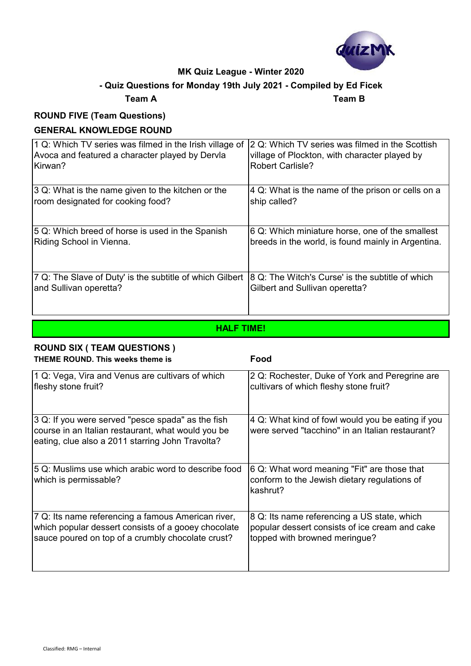

# **- Quiz Questions for Monday 19th July 2021 - Compiled by Ed Ficek**

# **Team A Team B**

# **ROUND FIVE (Team Questions)**

# **GENERAL KNOWLEDGE ROUND**

| 1 Q: Which TV series was filmed in the Irish village of  | 2 Q: Which TV series was filmed in the Scottish    |
|----------------------------------------------------------|----------------------------------------------------|
| Avoca and featured a character played by Dervla          | village of Plockton, with character played by      |
| Kirwan?                                                  | <b>Robert Carlisle?</b>                            |
| 3 Q: What is the name given to the kitchen or the        | 4 Q: What is the name of the prison or cells on a  |
| room designated for cooking food?                        | ship called?                                       |
| 5 Q: Which breed of horse is used in the Spanish         | 6 Q: Which miniature horse, one of the smallest    |
| Riding School in Vienna.                                 | breeds in the world, is found mainly in Argentina. |
| 7 Q: The Slave of Duty' is the subtitle of which Gilbert | 8 Q: The Witch's Curse' is the subtitle of which   |
| and Sullivan operetta?                                   | Gilbert and Sullivan operetta?                     |

# **HALF TIME!**

#### **ROUND SIX ( TEAM QUESTIONS ) THEME ROUND. This weeks theme is Food**

| 1 Q: Vega, Vira and Venus are cultivars of which                                                                                                            | 2 Q: Rochester, Duke of York and Peregrine are                                                          |
|-------------------------------------------------------------------------------------------------------------------------------------------------------------|---------------------------------------------------------------------------------------------------------|
| fleshy stone fruit?                                                                                                                                         | cultivars of which fleshy stone fruit?                                                                  |
| 3 Q: If you were served "pesce spada" as the fish<br>course in an Italian restaurant, what would you be<br>eating, clue also a 2011 starring John Travolta? | 4 Q: What kind of fowl would you be eating if you<br>were served "tacchino" in an Italian restaurant?   |
| 5 Q: Muslims use which arabic word to describe food<br>which is permissable?                                                                                | 6 Q: What word meaning "Fit" are those that<br>conform to the Jewish dietary regulations of<br>kashrut? |
| 7 Q: Its name referencing a famous American river,                                                                                                          | 8 Q: Its name referencing a US state, which                                                             |
| which popular dessert consists of a gooey chocolate                                                                                                         | popular dessert consists of ice cream and cake                                                          |
| sauce poured on top of a crumbly chocolate crust?                                                                                                           | topped with browned meringue?                                                                           |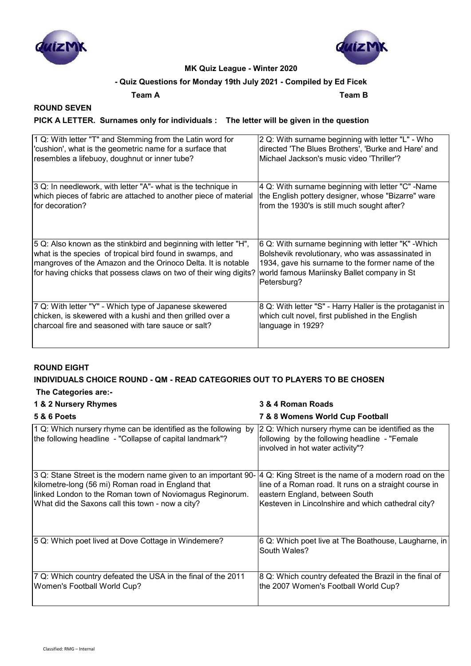



#### **- Quiz Questions for Monday 19th July 2021 - Compiled by Ed Ficek**

**Team A Team B**

### **ROUND SEVEN**

#### **PICK A LETTER. Surnames only for individuals : The letter will be given in the question**

| 1 Q: With letter "T" and Stemming from the Latin word for                                                                                                                                                                                                         | 2 Q: With surname beginning with letter "L" - Who                                                                                                                                                                         |
|-------------------------------------------------------------------------------------------------------------------------------------------------------------------------------------------------------------------------------------------------------------------|---------------------------------------------------------------------------------------------------------------------------------------------------------------------------------------------------------------------------|
| 'cushion', what is the geometric name for a surface that                                                                                                                                                                                                          | directed 'The Blues Brothers', 'Burke and Hare' and                                                                                                                                                                       |
| resembles a lifebuoy, doughnut or inner tube?                                                                                                                                                                                                                     | Michael Jackson's music video 'Thriller'?                                                                                                                                                                                 |
| 3 Q: In needlework, with letter "A"- what is the technique in                                                                                                                                                                                                     | 4 Q: With surname beginning with letter "C" -Name                                                                                                                                                                         |
| which pieces of fabric are attached to another piece of material                                                                                                                                                                                                  | the English pottery designer, whose "Bizarre" ware                                                                                                                                                                        |
| for decoration?                                                                                                                                                                                                                                                   | from the 1930's is still much sought after?                                                                                                                                                                               |
| 5 Q: Also known as the stinkbird and beginning with letter "H",<br>what is the species of tropical bird found in swamps, and<br>mangroves of the Amazon and the Orinoco Delta. It is notable<br>for having chicks that possess claws on two of their wing digits? | 6 Q: With surname beginning with letter "K" - Which<br>Bolshevik revolutionary, who was assassinated in<br>1934, gave his surname to the former name of the<br>world famous Mariinsky Ballet company in St<br>Petersburg? |
| 7 Q: With letter "Y" - Which type of Japanese skewered                                                                                                                                                                                                            | 8 Q: With letter "S" - Harry Haller is the protaganist in                                                                                                                                                                 |
| chicken, is skewered with a kushi and then grilled over a                                                                                                                                                                                                         | which cult novel, first published in the English                                                                                                                                                                          |
| charcoal fire and seasoned with tare sauce or salt?                                                                                                                                                                                                               | language in 1929?                                                                                                                                                                                                         |

#### **ROUND EIGHT**

#### **INDIVIDUALS CHOICE ROUND - QM - READ CATEGORIES OUT TO PLAYERS TO BE CHOSEN**

#### **The Categories are:-**

| 1 & 2 Nursery Rhymes                                                                                                                                                                                                                | 3 & 4 Roman Roads                                                                                                                                                                                     |
|-------------------------------------------------------------------------------------------------------------------------------------------------------------------------------------------------------------------------------------|-------------------------------------------------------------------------------------------------------------------------------------------------------------------------------------------------------|
| <b>5 &amp; 6 Poets</b>                                                                                                                                                                                                              | 7 & 8 Womens World Cup Football                                                                                                                                                                       |
| $\vert$ 1 Q: Which nursery rhyme can be identified as the following by<br>the following headline - "Collapse of capital landmark"?                                                                                                  | 2 Q: Which nursery rhyme can be identified as the<br>following by the following headline - "Female<br>involved in hot water activity"?                                                                |
| 3 Q: Stane Street is the modern name given to an important 90-<br>kilometre-long (56 mi) Roman road in England that<br>linked London to the Roman town of Noviomagus Reginorum.<br>What did the Saxons call this town - now a city? | 4 Q: King Street is the name of a modern road on the<br>line of a Roman road. It runs on a straight course in<br>eastern England, between South<br>Kesteven in Lincolnshire and which cathedral city? |
| 5 Q: Which poet lived at Dove Cottage in Windemere?                                                                                                                                                                                 | 6 Q: Which poet live at The Boathouse, Laugharne, in<br>South Wales?                                                                                                                                  |
| 7 Q: Which country defeated the USA in the final of the 2011<br>Women's Football World Cup?                                                                                                                                         | 8 Q: Which country defeated the Brazil in the final of<br>the 2007 Women's Football World Cup?                                                                                                        |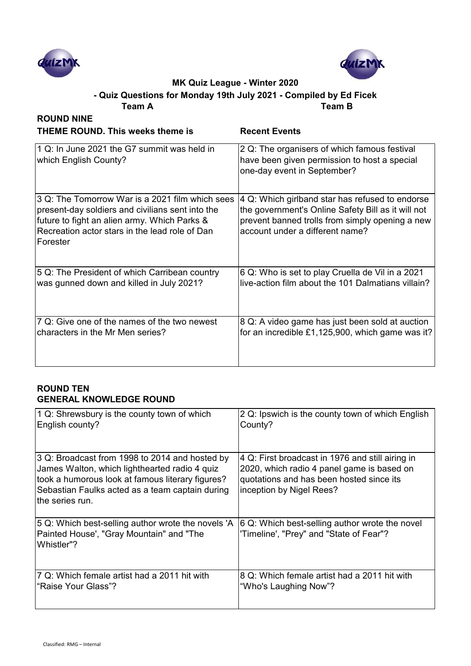



**Team A Team B - Quiz Questions for Monday 19th July 2021 - Compiled by Ed Ficek**

| <b>ROUND NINE</b>                                                                                                                                                                                                 |                                                                                                                                                                                             |
|-------------------------------------------------------------------------------------------------------------------------------------------------------------------------------------------------------------------|---------------------------------------------------------------------------------------------------------------------------------------------------------------------------------------------|
| <b>THEME ROUND. This weeks theme is</b>                                                                                                                                                                           | <b>Recent Events</b>                                                                                                                                                                        |
| 1 Q: In June 2021 the G7 summit was held in<br>which English County?                                                                                                                                              | 2 Q: The organisers of which famous festival<br>have been given permission to host a special<br>one-day event in September?                                                                 |
| 3 Q: The Tomorrow War is a 2021 film which sees<br>present-day soldiers and civilians sent into the<br>future to fight an alien army. Which Parks &<br>Recreation actor stars in the lead role of Dan<br>Forester | 4 Q: Which girlband star has refused to endorse<br>the government's Online Safety Bill as it will not<br>prevent banned trolls from simply opening a new<br>account under a different name? |
| 5 Q: The President of which Carribean country                                                                                                                                                                     | 6 Q: Who is set to play Cruella de Vil in a 2021                                                                                                                                            |
| was gunned down and killed in July 2021?                                                                                                                                                                          | live-action film about the 101 Dalmatians villain?                                                                                                                                          |
| 7 Q: Give one of the names of the two newest                                                                                                                                                                      | 8 Q: A video game has just been sold at auction                                                                                                                                             |
| characters in the Mr Men series?                                                                                                                                                                                  | for an incredible £1,125,900, which game was it?                                                                                                                                            |

#### **ROUND TEN GENERAL KNOWLEDGE ROUND**

| 1 Q: Shrewsbury is the county town of which                                                                                                                                                                               | 2 Q: Ipswich is the county town of which English                                                                                                                       |
|---------------------------------------------------------------------------------------------------------------------------------------------------------------------------------------------------------------------------|------------------------------------------------------------------------------------------------------------------------------------------------------------------------|
| English county?                                                                                                                                                                                                           | County?                                                                                                                                                                |
| 3 Q: Broadcast from 1998 to 2014 and hosted by<br>James Walton, which lighthearted radio 4 quiz<br>took a humorous look at famous literary figures?<br>Sebastian Faulks acted as a team captain during<br>the series run. | 4 Q: First broadcast in 1976 and still airing in<br>2020, which radio 4 panel game is based on<br>quotations and has been hosted since its<br>inception by Nigel Rees? |
| 5 Q: Which best-selling author wrote the novels 'A<br>Painted House', "Gray Mountain" and "The<br>Whistler"?                                                                                                              | 6 Q: Which best-selling author wrote the novel<br>'Timeline', "Prey" and "State of Fear"?                                                                              |
| 7 Q: Which female artist had a 2011 hit with                                                                                                                                                                              | 8 Q: Which female artist had a 2011 hit with                                                                                                                           |
| l"Raise Your Glass"?                                                                                                                                                                                                      | "Who's Laughing Now"?                                                                                                                                                  |